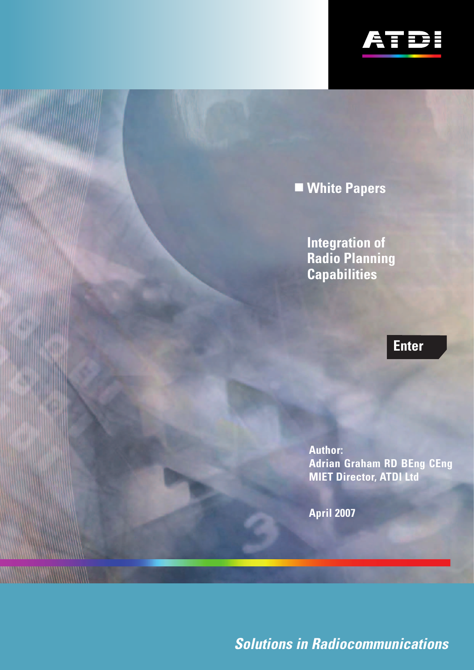

# <span id="page-0-0"></span>**White Papers**

**Integration of Radio Planning Capabilities**

# **[Enter](#page-1-0)**

**Author: Adrian Graham RD BEng CEng MIET Director, ATDI Ltd**

**April 2007**

**MANAHAMANA MANAHAMAN** 

**Solutions in Radiocommunications**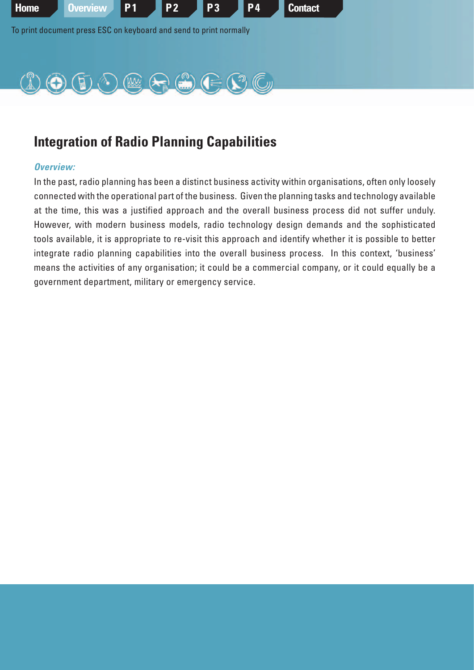<span id="page-1-0"></span>

## **Integration of Radio Planning Capabilities**

#### **Overview:**

In the past, radio planning has been a distinct business activity within organisations, often only loosely connected with the operational part of the business. Given the planning tasks and technology available at the time, this was a justified approach and the overall business process did not suffer unduly. However, with modern business models, radio technology design demands and the sophisticated tools available, it is appropriate to re-visit this approach and identify whether it is possible to better integrate radio planning capabilities into the overall business process. In this context, 'business' means the activities of any organisation; it could be a commercial company, or it could equally be a government department, military or emergency service.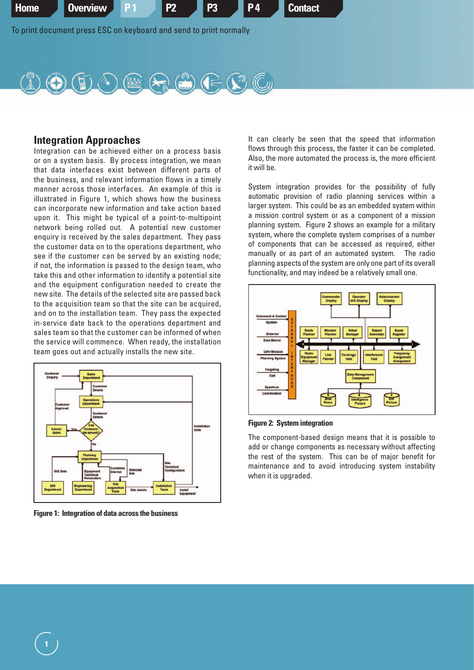<span id="page-2-0"></span>



#### **Integration Approaches**

Integration can be achieved either on a process basis or on a system basis. By process integration, we mean that data interfaces exist between different parts of the business, and relevant information flows in a timely manner across those interfaces. An example of this is illustrated in Figure 1, which shows how the business can incorporate new information and take action based upon it. This might be typical of a point-to-multipoint network being rolled out. A potential new customer enquiry is received by the sales department. They pass the customer data on to the operations department, who see if the customer can be served by an existing node; if not, the information is passed to the design team, who take this and other information to identify a potential site and the equipment configuration needed to create the new site. The details of the selected site are passed back to the acquisition team so that the site can be acquired, and on to the installation team. They pass the expected in-service date back to the operations department and sales team so that the customer can be informed of when the service will commence. When ready, the installation team goes out and actually installs the new site.



**Figure 1: Integration of data across the business**

It can clearly be seen that the speed that information flows through this process, the faster it can be completed. Also, the more automated the process is, the more efficient it will be.

System integration provides for the possibility of fully automatic provision of radio planning services within a larger system. This could be as an embedded system within a mission control system or as a component of a mission planning system. Figure 2 shows an example for a military system, where the complete system comprises of a number of components that can be accessed as required, either manually or as part of an automated system. The radio planning aspects of the system are only one part of its overall functionality, and may indeed be a relatively small one.



**Figure 2: System integration**

The component-based design means that it is possible to add or change components as necessary without affecting the rest of the system. This can be of major benefit for maintenance and to avoid introducing system instability when it is upgraded.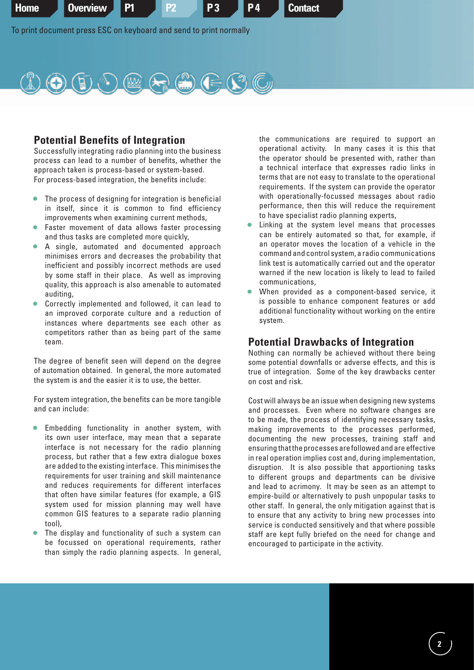<span id="page-3-0"></span>



### **Potential Benefits of Integration**

Successfully integrating radio planning into the business process can lead to a number of benefits, whether the approach taken is process-based or system-based. For process-based integration, the benefits include:

- The process of designing for integration is beneficial in itself, since it is common to find efficiency improvements when examining current methods,
- Faster movement of data allows faster processing and thus tasks are completed more quickly,
- A single, automated and documented approach minimises errors and decreases the probability that inefficient and possibly incorrect methods are used by some staff in their place. As well as improving quality, this approach is also amenable to automated auditing,
- Correctly implemented and followed, it can lead to an improved corporate culture and a reduction of instances where departments see each other as competitors rather than as being part of the same team.

The degree of benefit seen will depend on the degree of automation obtained. In general, the more automated the system is and the easier it is to use, the better.

For system integration, the benefits can be more tangible and can include:

- Embedding functionality in another system, with its own user interface, may mean that a separate interface is not necessary for the radio planning process, but rather that a few extra dialogue boxes are added to the existing interface. This minimises the requirements for user training and skill maintenance and reduces requirements for different interfaces that often have similar features (for example, a GIS system used for mission planning may well have common GIS features to a separate radio planning tool),
- The display and functionality of such a system can be focussed on operational requirements, rather than simply the radio planning aspects. In general,

the communications are required to support an operational activity. In many cases it is this that the operator should be presented with, rather than a technical interface that expresses radio links in terms that are not easy to translate to the operational requirements. If the system can provide the operator with operationally-focussed messages about radio performance, then this will reduce the requirement to have specialist radio planning experts,

- Linking at the system level means that processes can be entirely automated so that, for example, if an operator moves the location of a vehicle in the command and control system, a radio communications link test is automatically carried out and the operator warned if the new location is likely to lead to failed communications,
- When provided as a component-based service, it is possible to enhance component features or add additional functionality without working on the entire system.

### **Potential Drawbacks of Integration**

Nothing can normally be achieved without there being some potential downfalls or adverse effects, and this is true of integration. Some of the key drawbacks center on cost and risk.

Cost will always be an issue when designing new systems and processes. Even where no software changes are to be made, the process of identifying necessary tasks, making improvements to the processes performed, documenting the new processes, training staff and ensuring that the processes are followed and are effective in real operation implies cost and, during implementation, disruption. It is also possible that apportioning tasks to different groups and departments can be divisive and lead to acrimony. It may be seen as an attempt to empire-build or alternatively to push unpopular tasks to other staff. In general, the only mitigation against that is to ensure that any activity to bring new processes into service is conducted sensitively and that where possible staff are kept fully briefed on the need for change and encouraged to participate in the activity.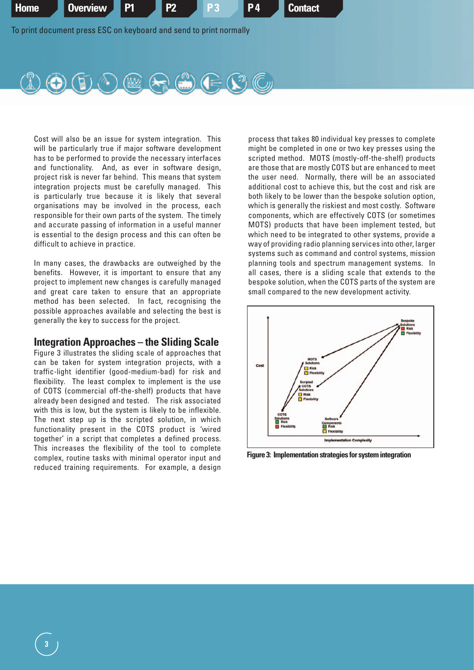<span id="page-4-0"></span>



Cost will also be an issue for system integration. This will be particularly true if major software development has to be performed to provide the necessary interfaces and functionality. And, as ever in software design, project risk is never far behind. This means that system integration projects must be carefully managed. This is particularly true because it is likely that several organisations may be involved in the process, each responsible for their own parts of the system. The timely and accurate passing of information in a useful manner is essential to the design process and this can often be difficult to achieve in practice.

In many cases, the drawbacks are outweighed by the benefits. However, it is important to ensure that any project to implement new changes is carefully managed and great care taken to ensure that an appropriate method has been selected. In fact, recognising the possible approaches available and selecting the best is generally the key to success for the project.

### **Integration Approaches – the Sliding Scale**

Figure 3 illustrates the sliding scale of approaches that can be taken for system integration projects, with a traffic-light identifier (good-medium-bad) for risk and flexibility. The least complex to implement is the use of COTS (commercial off-the-shelf) products that have already been designed and tested. The risk associated with this is low, but the system is likely to be inflexible. The next step up is the scripted solution, in which functionality present in the COTS product is 'wired together' in a script that completes a defined process. This increases the flexibility of the tool to complete complex, routine tasks with minimal operator input and reduced training requirements. For example, a design

process that takes 80 individual key presses to complete might be completed in one or two key presses using the scripted method. MOTS (mostly-off-the-shelf) products are those that are mostly COTS but are enhanced to meet the user need. Normally, there will be an associated additional cost to achieve this, but the cost and risk are both likely to be lower than the bespoke solution option, which is generally the riskiest and most costly. Software components, which are effectively COTS (or sometimes MOTS) products that have been implement tested, but which need to be integrated to other systems, provide a way of providing radio planning services into other, larger systems such as command and control systems, mission planning tools and spectrum management systems. In all cases, there is a sliding scale that extends to the bespoke solution, when the COTS parts of the system are small compared to the new development activity.



**Figure 3: Implementation strategies for system integration**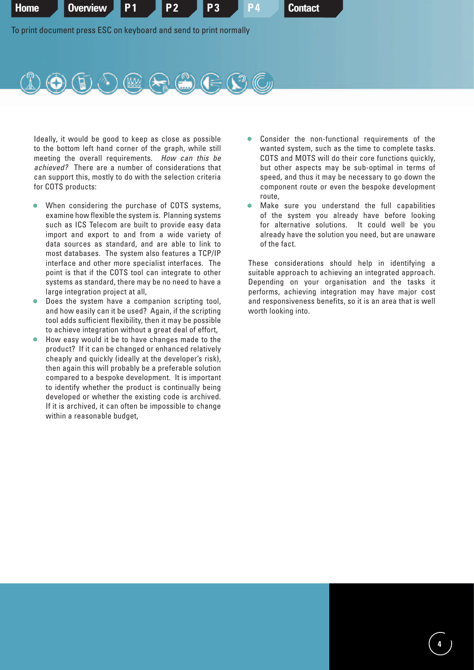<span id="page-5-0"></span>



Ideally, it would be good to keep as close as possible to the bottom left hand corner of the graph, while still meeting the overall requirements. How can this be achieved? There are a number of considerations that can support this, mostly to do with the selection criteria for COTS products:

- When considering the purchase of COTS systems, examine how flexible the system is. Planning systems such as ICS Telecom are built to provide easy data import and export to and from a wide variety of data sources as standard, and are able to link to most databases. The system also features a TCP/IP interface and other more specialist interfaces. The point is that if the COTS tool can integrate to other systems as standard, there may be no need to have a large integration project at all,
- Does the system have a companion scripting tool, and how easily can it be used? Again, if the scripting tool adds sufficient flexibility, then it may be possible to achieve integration without a great deal of effort,
- How easy would it be to have changes made to the product? If it can be changed or enhanced relatively cheaply and quickly (ideally at the developer's risk), then again this will probably be a preferable solution compared to a bespoke development. It is important to identify whether the product is continually being developed or whether the existing code is archived. If it is archived, it can often be impossible to change within a reasonable budget,
- Consider the non-functional requirements of the wanted system, such as the time to complete tasks. COTS and MOTS will do their core functions quickly, but other aspects may be sub-optimal in terms of speed, and thus it may be necessary to go down the component route or even the bespoke development route,
- Make sure you understand the full capabilities of the system you already have before looking for alternative solutions. It could well be you already have the solution you need, but are unaware of the fact.

These considerations should help in identifying a suitable approach to achieving an integrated approach. Depending on your organisation and the tasks it performs, achieving integration may have major cost and responsiveness benefits, so it is an area that is well worth looking into.